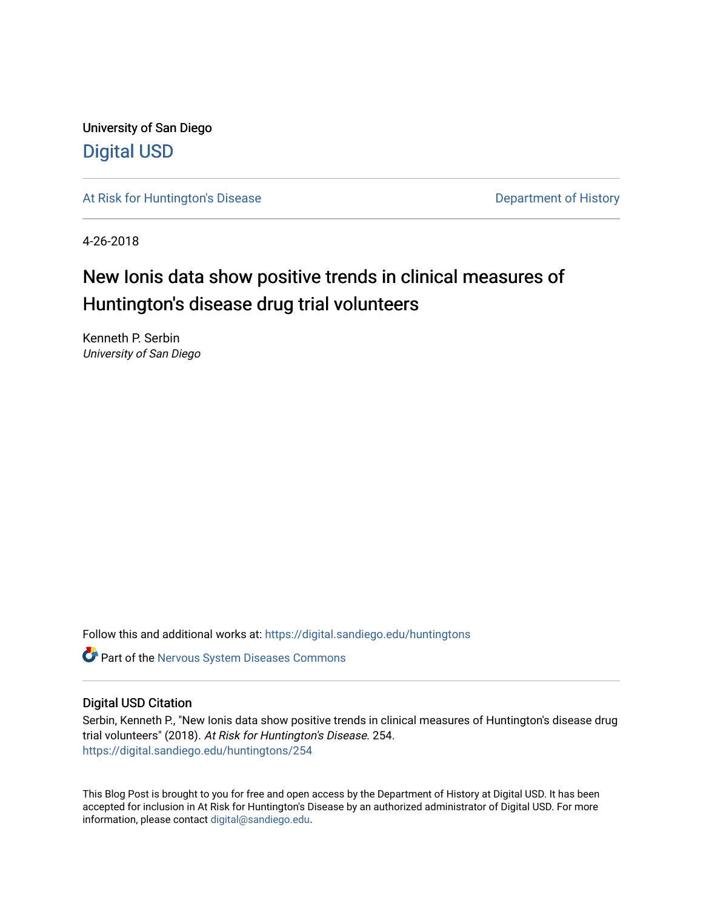University of San Diego [Digital USD](https://digital.sandiego.edu/)

[At Risk for Huntington's Disease](https://digital.sandiego.edu/huntingtons) **Department of History** Department of History

4-26-2018

## New Ionis data show positive trends in clinical measures of Huntington's disease drug trial volunteers

Kenneth P. Serbin University of San Diego

Follow this and additional works at: [https://digital.sandiego.edu/huntingtons](https://digital.sandiego.edu/huntingtons?utm_source=digital.sandiego.edu%2Fhuntingtons%2F254&utm_medium=PDF&utm_campaign=PDFCoverPages)

**C** Part of the [Nervous System Diseases Commons](http://network.bepress.com/hgg/discipline/928?utm_source=digital.sandiego.edu%2Fhuntingtons%2F254&utm_medium=PDF&utm_campaign=PDFCoverPages)

### Digital USD Citation

Serbin, Kenneth P., "New Ionis data show positive trends in clinical measures of Huntington's disease drug trial volunteers" (2018). At Risk for Huntington's Disease. 254. [https://digital.sandiego.edu/huntingtons/254](https://digital.sandiego.edu/huntingtons/254?utm_source=digital.sandiego.edu%2Fhuntingtons%2F254&utm_medium=PDF&utm_campaign=PDFCoverPages)

This Blog Post is brought to you for free and open access by the Department of History at Digital USD. It has been accepted for inclusion in At Risk for Huntington's Disease by an authorized administrator of Digital USD. For more information, please contact [digital@sandiego.edu.](mailto:digital@sandiego.edu)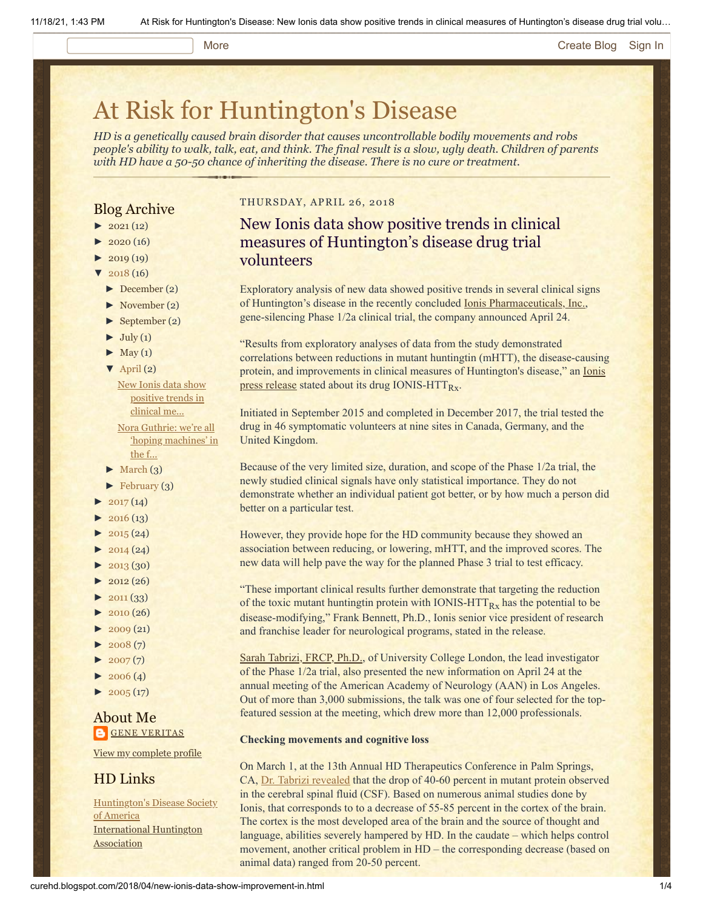#### More **[Create Blog](https://www.blogger.com/home#create) [Sign In](https://www.blogger.com/)**

# [At Risk for Huntington's Disease](http://curehd.blogspot.com/)

*HD is a genetically caused brain disorder that causes uncontrollable bodily movements and robs people's ability to walk, talk, eat, and think. The final result is a slow, ugly death. Children of parents with HD have a 50-50 chance of inheriting the disease. There is no cure or treatment.*

## Blog Archive

- $\blacktriangleright$  [2021](http://curehd.blogspot.com/2021/) (12)
- $\blacktriangleright$  [2020](http://curehd.blogspot.com/2020/) (16)
- $\blacktriangleright$  [2019](http://curehd.blogspot.com/2019/) (19)
- $\sqrt{2018(16)}$  $\sqrt{2018(16)}$  $\sqrt{2018(16)}$
- [►](javascript:void(0)) [December](http://curehd.blogspot.com/2018/12/) (2)
- [►](javascript:void(0)) [November](http://curehd.blogspot.com/2018/11/) (2)
- [►](javascript:void(0)) [September](http://curehd.blogspot.com/2018/09/) (2)
- $\blacktriangleright$  [July](http://curehd.blogspot.com/2018/07/) (1)
- $\blacktriangleright$  [May](http://curehd.blogspot.com/2018/05/) (1)
- $\nabla$  [April](http://curehd.blogspot.com/2018/04/) (2)
- New Ionis data show [positive](http://curehd.blogspot.com/2018/04/new-ionis-data-show-improvement-in.html) trends in clinical me... Nora Guthrie: we're all 'hoping [machines'](http://curehd.blogspot.com/2018/04/nora-guthrie-were-all-hoping-machines.html) in
- the f...
- $\blacktriangleright$  [March](http://curehd.blogspot.com/2018/03/) (3)
- $\blacktriangleright$  [February](http://curehd.blogspot.com/2018/02/) (3)
- $2017(14)$  $2017(14)$
- $\blacktriangleright$  [2016](http://curehd.blogspot.com/2016/) (13)
- $\blacktriangleright$  [2015](http://curehd.blogspot.com/2015/) (24)
- $\blacktriangleright$  [2014](http://curehd.blogspot.com/2014/) (24)
- $\blacktriangleright$  [2013](http://curehd.blogspot.com/2013/) (30)
- $\blacktriangleright$  [2012](http://curehd.blogspot.com/2012/) (26)
- $\blacktriangleright$  [2011](http://curehd.blogspot.com/2011/) (33)
- [►](javascript:void(0)) [2010](http://curehd.blogspot.com/2010/) (26)
- $\blacktriangleright$  [2009](http://curehd.blogspot.com/2009/) (21)
- $\blacktriangleright$  [2008](http://curehd.blogspot.com/2008/) $(7)$
- $\blacktriangleright$  [2007](http://curehd.blogspot.com/2007/) $(7)$
- $\blacktriangleright$  [2006](http://curehd.blogspot.com/2006/) (4)
- $\blacktriangleright$  [2005](http://curehd.blogspot.com/2005/) (17)

## About Me **GENE [VERITAS](https://www.blogger.com/profile/10911736205741688185)**

View my [complete](https://www.blogger.com/profile/10911736205741688185) profile

## HD Links

[Huntington's](http://www.hdsa.org/) Disease Society of America [International](http://www.huntington-assoc.com/) Huntington **Association** 

#### THURSDAY, APRIL 26, 2018

## New Ionis data show positive trends in clinical measures of Huntington's disease drug trial volunteers

Exploratory analysis of new data showed positive trends in several clinical signs of Huntington's disease in the recently concluded [Ionis Pharmaceuticals, Inc.,](http://www.ionispharma.com/) gene-silencing Phase 1/2a clinical trial, the company announced April 24.

"Results from exploratory analyses of data from the study demonstrated correlations between reductions in mutant huntingtin (mHTT), the disease-causing protein, and improvements in clinical measures of Huntington's disease," an *Ionis* press release stated about its drug IONIS-HTT<sub>Rx</sub>.

Initiated in September 2015 and completed in December 2017, the trial tested the drug in 46 symptomatic volunteers at nine sites in Canada, Germany, and the United Kingdom.

Because of the very limited size, duration, and scope of the Phase 1/2a trial, the newly studied clinical signals have only statistical importance. They do not demonstrate whether an individual patient got better, or by how much a person did better on a particular test.

However, they provide hope for the HD community because they showed an association between reducing, or lowering, mHTT, and the improved scores. The new data will help pave the way for the planned Phase 3 trial to test efficacy.

"These important clinical results further demonstrate that targeting the reduction of the toxic mutant huntingtin protein with IONIS-HTT $_{Rx}$  has the potential to be disease-modifying," Frank Bennett, Ph.D., Ionis senior vice president of research and franchise leader for neurological programs, stated in the release.

[Sarah Tabrizi, FRCP, Ph.D.,](https://iris.ucl.ac.uk/iris/browse/profile?upi=SJTAB21) of University College London, the lead investigator of the Phase 1/2a trial, also presented the new information on April 24 at the annual meeting of the American Academy of Neurology (AAN) in Los Angeles. Out of more than 3,000 submissions, the talk was one of four selected for the topfeatured session at the meeting, which drew more than 12,000 professionals.

#### **Checking movements and cognitive loss**

On March 1, at the 13th Annual HD Therapeutics Conference in Palm Springs, CA, [Dr. Tabrizi revealed](http://curehd.blogspot.com/2018/03/ionis-phase-12a-clinical-trial-data.html) that the drop of 40-60 percent in mutant protein observed in the cerebral spinal fluid (CSF). Based on numerous animal studies done by Ionis, that corresponds to to a decrease of 55-85 percent in the cortex of the brain. The cortex is the most developed area of the brain and the source of thought and language, abilities severely hampered by HD. In the caudate – which helps control movement, another critical problem in HD – the corresponding decrease (based on animal data) ranged from 20-50 percent.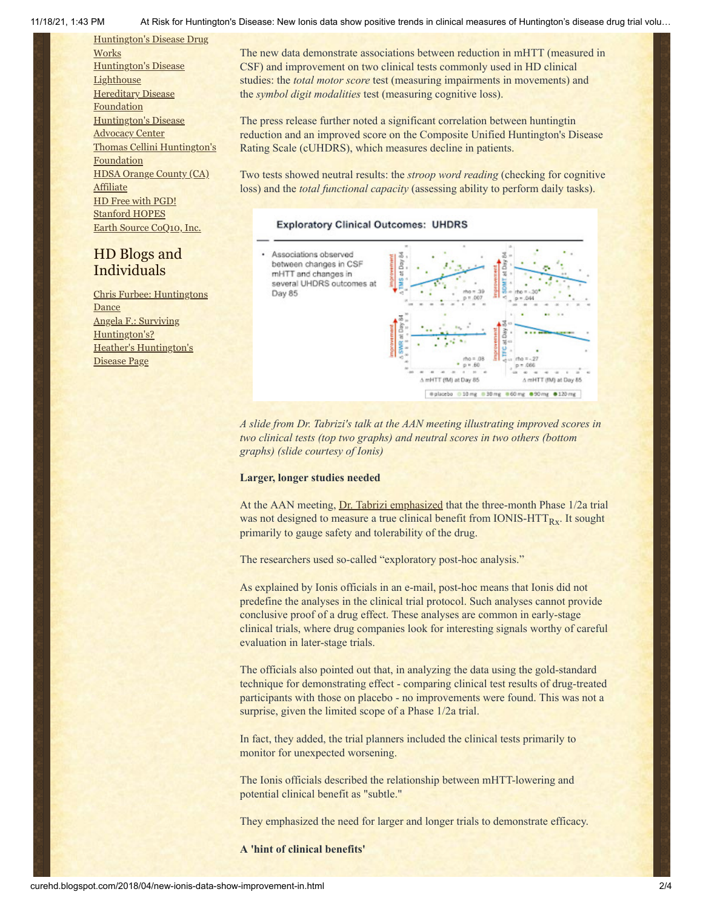[Huntington's](http://hddrugworks.org/) Disease Drug **Works** [Huntington's](http://www.hdlighthouse.org/) Disease **Lighthouse Hereditary Disease [Foundation](http://www.hdfoundation.org/)** [Huntington's](http://www.hdac.org/) Disease **Advocacy Center** Thomas [Cellini Huntington's](http://www.ourtchfoundation.org/) Foundation HDSA Orange County (CA) **[Affiliate](http://www.hdsaoc.org/)** HD Free with [PGD!](http://www.hdfreewithpgd.com/) [Stanford](http://www.stanford.edu/group/hopes/) HOPES Earth Source [CoQ10,](http://www.escoq10.com/) Inc.

## HD Blogs and Individuals

Chris Furbee: [Huntingtons](http://www.huntingtonsdance.org/) Dance Angela F.: Surviving [Huntington's?](http://survivinghuntingtons.blogspot.com/) Heather's [Huntington's](http://heatherdugdale.angelfire.com/) Disease Page

11/18/21, 1:43 PM At Risk for Huntington's Disease: New Ionis data show positive trends in clinical measures of Huntington's disease drug trial volu…

The new data demonstrate associations between reduction in mHTT (measured in CSF) and improvement on two clinical tests commonly used in HD clinical studies: the *total motor score* test (measuring impairments in movements) and the *symbol digit modalities* test (measuring cognitive loss).

The press release further noted a significant correlation between huntingtin reduction and an improved score on the Composite Unified Huntington's Disease Rating Scale (cUHDRS), which measures decline in patients.

Two tests showed neutral results: the *stroop word reading* (checking for cognitive loss) and the *total functional capacity* (assessing ability to perform daily tasks).

#### **Exploratory Clinical Outcomes: UHDRS**



*A slide from Dr. Tabrizi's talk at the AAN meeting illustrating improved scores in two clinical tests (top two graphs) and neutral scores in two others (bottom graphs) (slide courtesy of Ionis)*

#### **Larger, longer studies needed**

Day 85

At the AAN meeting, [Dr. Tabrizi emphasized](https://journals.lww.com/neurotodayonline/blog/NeurologyTodayConferenceReportersAANAnnualMeeting/pages/post.aspx?PostID=57) that the three-month Phase 1/2a trial was not designed to measure a true clinical benefit from IONIS- $HTT<sub>Rx</sub>$ . It sought primarily to gauge safety and tolerability of the drug.

The researchers used so-called "exploratory post-hoc analysis."

As explained by Ionis officials in an e-mail, post-hoc means that Ionis did not predefine the analyses in the clinical trial protocol. Such analyses cannot provide conclusive proof of a drug effect. These analyses are common in early-stage clinical trials, where drug companies look for interesting signals worthy of careful evaluation in later-stage trials.

The officials also pointed out that, in analyzing the data using the gold-standard technique for demonstrating effect - comparing clinical test results of drug-treated participants with those on placebo - no improvements were found. This was not a surprise, given the limited scope of a Phase 1/2a trial.

In fact, they added, the trial planners included the clinical tests primarily to monitor for unexpected worsening.

The Ionis officials described the relationship between mHTT-lowering and potential clinical benefit as "subtle."

They emphasized the need for larger and longer trials to demonstrate efficacy.

**A 'hint of clinical benefits'**